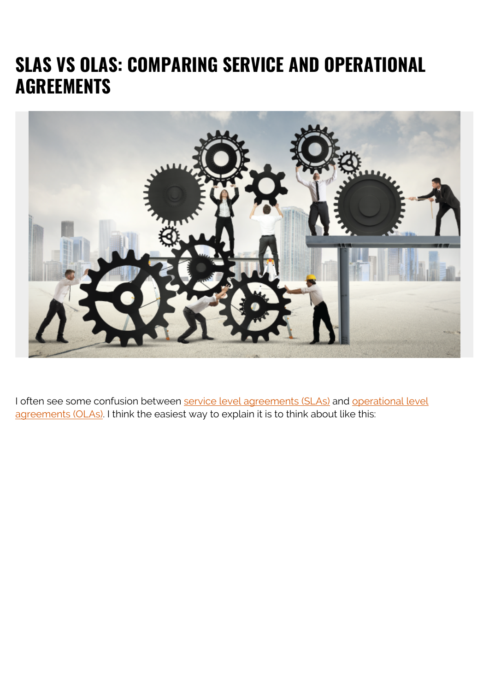### **SLAS VS OLAS: COMPARING SERVICE AND OPERATIONAL AGREEMENTS**



I often see some confusion between [service level agreements \(SLAs\)](https://blogs.bmc.com/blogs/sla-template-examples/) and [operational level](https://blogs.bmc.com/blogs/ola-operational-level-agreement/) [agreements \(OLAs\)](https://blogs.bmc.com/blogs/ola-operational-level-agreement/). I think the easiest way to explain it is to think about like this: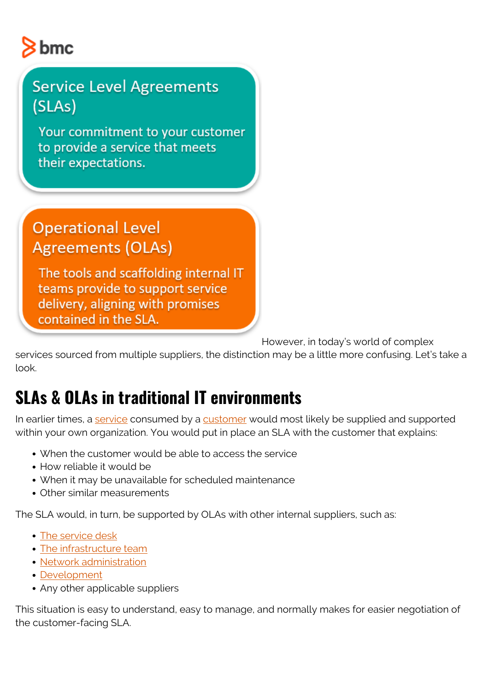# $8<sub>bmc</sub>$

#### **Service Level Agreements** (SLAs)

Your commitment to your customer to provide a service that meets their expectations.

#### **Operational Level Agreements (OLAs)**

The tools and scaffolding internal IT teams provide to support service delivery, aligning with promises contained in the SLA.

However, in today's world of complex

services sourced from multiple suppliers, the distinction may be a little more confusing. Let's take a look.

## **SLAs & OLAs in traditional IT environments**

In earlier times, a [service](https://blogs.bmc.com/blogs/it-service/) consumed by a [customer](https://blogs.bmc.com/blogs/internal-vs-external-customers/) would most likely be supplied and supported within your own organization. You would put in place an SLA with the customer that explains:

- When the customer would be able to access the service
- How reliable it would be
- When it may be unavailable for scheduled maintenance
- Other similar measurements

The SLA would, in turn, be supported by OLAs with other internal suppliers, such as:

- [The service desk](https://blogs.bmc.com/blogs/help-desk-vs-service-desk-whats-difference/)
- [The infrastructure team](https://blogs.bmc.com/blogs/it-teams/)
- [Network administration](https://blogs.bmc.com/blogs/it-teams/)
- [Development](https://blogs.bmc.com/blogs/it-teams/)
- Any other applicable suppliers

This situation is easy to understand, easy to manage, and normally makes for easier negotiation of the customer-facing SLA.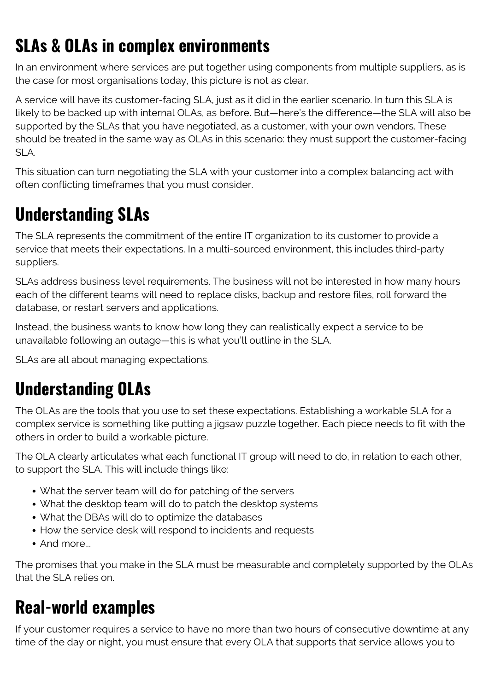# **SLAs & OLAs in complex environments**

In an environment where services are put together using components from multiple suppliers, as is the case for most organisations today, this picture is not as clear.

A service will have its customer-facing SLA, just as it did in the earlier scenario. In turn this SLA is likely to be backed up with internal OLAs, as before. But—here's the difference—the SLA will also be supported by the SLAs that you have negotiated, as a customer, with your own vendors. These should be treated in the same way as OLAs in this scenario: they must support the customer-facing SLA.

This situation can turn negotiating the SLA with your customer into a complex balancing act with often conflicting timeframes that you must consider.

### **Understanding SLAs**

The SLA represents the commitment of the entire IT organization to its customer to provide a service that meets their expectations. In a multi-sourced environment, this includes third-party suppliers.

SLAs address business level requirements. The business will not be interested in how many hours each of the different teams will need to replace disks, backup and restore files, roll forward the database, or restart servers and applications.

Instead, the business wants to know how long they can realistically expect a service to be unavailable following an outage—this is what you'll outline in the SLA.

SLAs are all about managing expectations.

# **Understanding OLAs**

The OLAs are the tools that you use to set these expectations. Establishing a workable SLA for a complex service is something like putting a jigsaw puzzle together. Each piece needs to fit with the others in order to build a workable picture.

The OLA clearly articulates what each functional IT group will need to do, in relation to each other, to support the SLA. This will include things like:

- What the server team will do for patching of the servers
- What the desktop team will do to patch the desktop systems
- What the DBAs will do to optimize the databases
- How the service desk will respond to incidents and requests
- And more...

The promises that you make in the SLA must be measurable and completely supported by the OLAs that the SLA relies on.

### **Real-world examples**

If your customer requires a service to have no more than two hours of consecutive downtime at any time of the day or night, you must ensure that every OLA that supports that service allows you to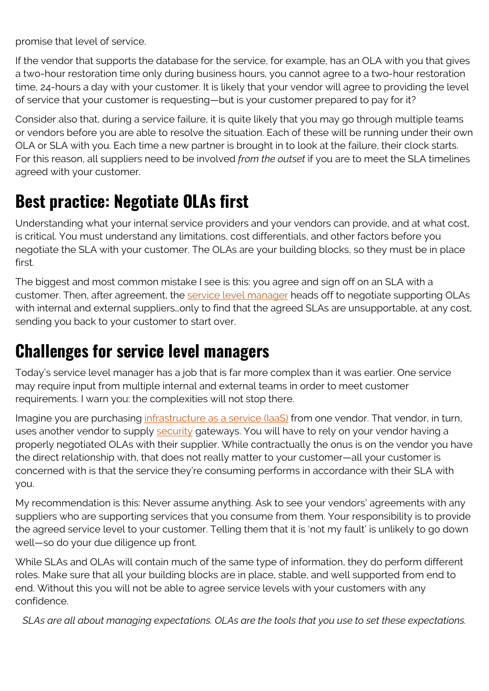promise that level of service.

If the vendor that supports the database for the service, for example, has an OLA with you that gives a two-hour restoration time only during business hours, you cannot agree to a two-hour restoration time, 24-hours a day with your customer. It is likely that your vendor will agree to providing the level of service that your customer is requesting—but is your customer prepared to pay for it?

Consider also that, during a service failure, it is quite likely that you may go through multiple teams or vendors before you are able to resolve the situation. Each of these will be running under their own OLA or SLA with you. Each time a new partner is brought in to look at the failure, their clock starts. For this reason, all suppliers need to be involved *from the outset* if you are to meet the SLA timelines agreed with your customer.

### **Best practice: Negotiate OLAs first**

Understanding what your internal service providers and your vendors can provide, and at what cost, is critical. You must understand any limitations, cost differentials, and other factors before you negotiate the SLA with your customer. The OLAs are your building blocks, so they must be in place first.

The biggest and most common mistake I see is this: you agree and sign off on an SLA with a customer. Then, after agreement, the [service level manager](https://blogs.bmc.com/blogs/brm-business-relationship-manager/) heads off to negotiate supporting OLAs with internal and external suppliers…only to find that the agreed SLAs are unsupportable, at any cost, sending you back to your customer to start over.

### **Challenges for service level managers**

Today's service level manager has a job that is far more complex than it was earlier. One service may require input from multiple internal and external teams in order to meet customer requirements. I warn you: the complexities will not stop there.

Imagine you are purchasing infrastructure as a service (laaS) from one vendor. That vendor, in turn, uses another vendor to supply [security](https://blogs.bmc.com/blogs/security-vulnerability-vs-threat-vs-risk-whats-difference/) gateways. You will have to rely on your vendor having a properly negotiated OLAs with their supplier. While contractually the onus is on the vendor you have the direct relationship with, that does not really matter to your customer—all your customer is concerned with is that the service they're consuming performs in accordance with their SLA with you.

My recommendation is this: Never assume anything. Ask to see your vendors' agreements with any suppliers who are supporting services that you consume from them. Your responsibility is to provide the agreed service level to your customer. Telling them that it is 'not my fault' is unlikely to go down well—so do your due diligence up front.

While SLAs and OLAs will contain much of the same type of information, they do perform different roles. Make sure that all your building blocks are in place, stable, and well supported from end to end. Without this you will not be able to agree service levels with your customers with any confidence.

*SLAs are all about managing expectations. OLAs are the tools that you use to set these expectations.*